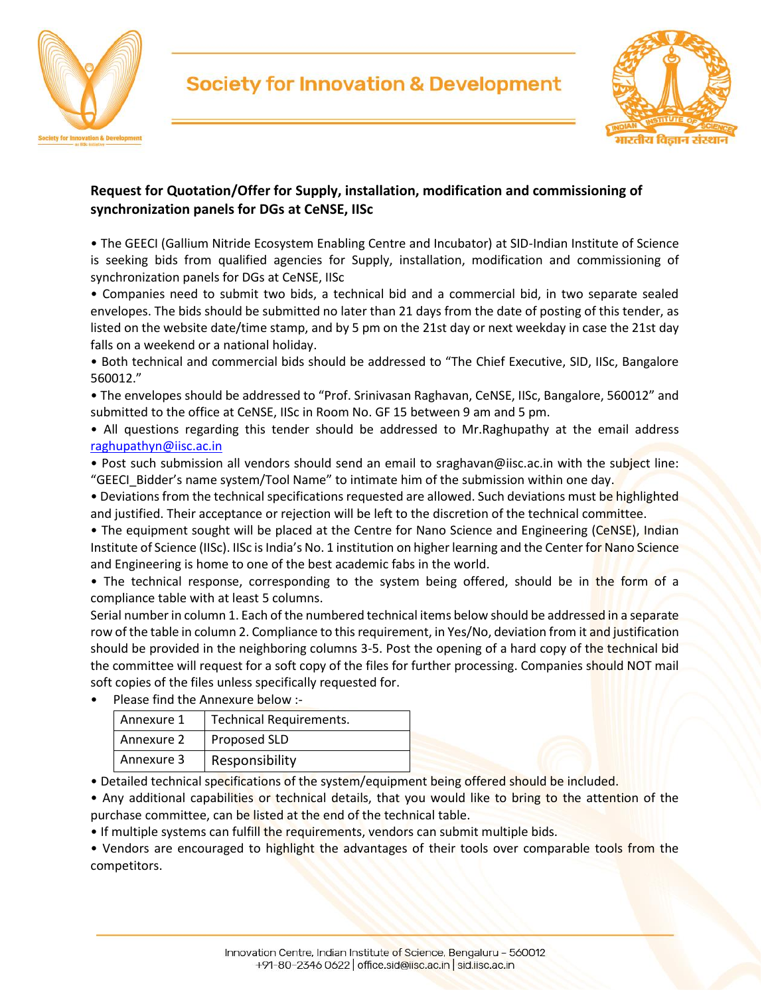



## **Request for Quotation/Offer for Supply, installation, modification and commissioning of synchronization panels for DGs at CeNSE, IISc**

• The GEECI (Gallium Nitride Ecosystem Enabling Centre and Incubator) at SID-Indian Institute of Science is seeking bids from qualified agencies for Supply, installation, modification and commissioning of synchronization panels for DGs at CeNSE, IISc

• Companies need to submit two bids, a technical bid and a commercial bid, in two separate sealed envelopes. The bids should be submitted no later than 21 days from the date of posting of this tender, as listed on the website date/time stamp, and by 5 pm on the 21st day or next weekday in case the 21st day falls on a weekend or a national holiday.

• Both technical and commercial bids should be addressed to "The Chief Executive, SID, IISc, Bangalore 560012."

• The envelopes should be addressed to "Prof. Srinivasan Raghavan, CeNSE, IISc, Bangalore, 560012" and submitted to the office at CeNSE, IISc in Room No. GF 15 between 9 am and 5 pm.

• All questions regarding this tender should be addressed to Mr.Raghupathy at the email address raghupathyn@iisc.ac.in

• Post such submission all vendors should send an email to sraghavan@iisc.ac.in with the subject line: "GEECI\_Bidder's name system/Tool Name" to intimate him of the submission within one day.

• Deviations from the technical specifications requested are allowed. Such deviations must be highlighted and justified. Their acceptance or rejection will be left to the discretion of the technical committee.

• The equipment sought will be placed at the Centre for Nano Science and Engineering (CeNSE), Indian Institute of Science (IISc). IISc is India's No. 1 institution on higher learning and the Center for Nano Science and Engineering is home to one of the best academic fabs in the world.

• The technical response, corresponding to the system being offered, should be in the form of a compliance table with at least 5 columns.

Serial number in column 1. Each of the numbered technical items below should be addressed in a separate row of the table in column 2. Compliance to this requirement, in Yes/No, deviation from it and justification should be provided in the neighboring columns 3-5. Post the opening of a hard copy of the technical bid the committee will request for a soft copy of the files for further processing. Companies should NOT mail soft copies of the files unless specifically requested for.

• Please find the Annexure below :-

| Annexure 1 | <b>Technical Requirements.</b> |
|------------|--------------------------------|
| Annexure 2 | Proposed SLD                   |
| Annexure 3 | Responsibility                 |

• Detailed technical specifications of the system/equipment being offered should be included.

• Any additional capabilities or technical details, that you would like to bring to the attention of the purchase committee, can be listed at the end of the technical table.

• If multiple systems can fulfill the requirements, vendors can submit multiple bids.

• Vendors are encouraged to highlight the advantages of their tools over comparable tools from the competitors.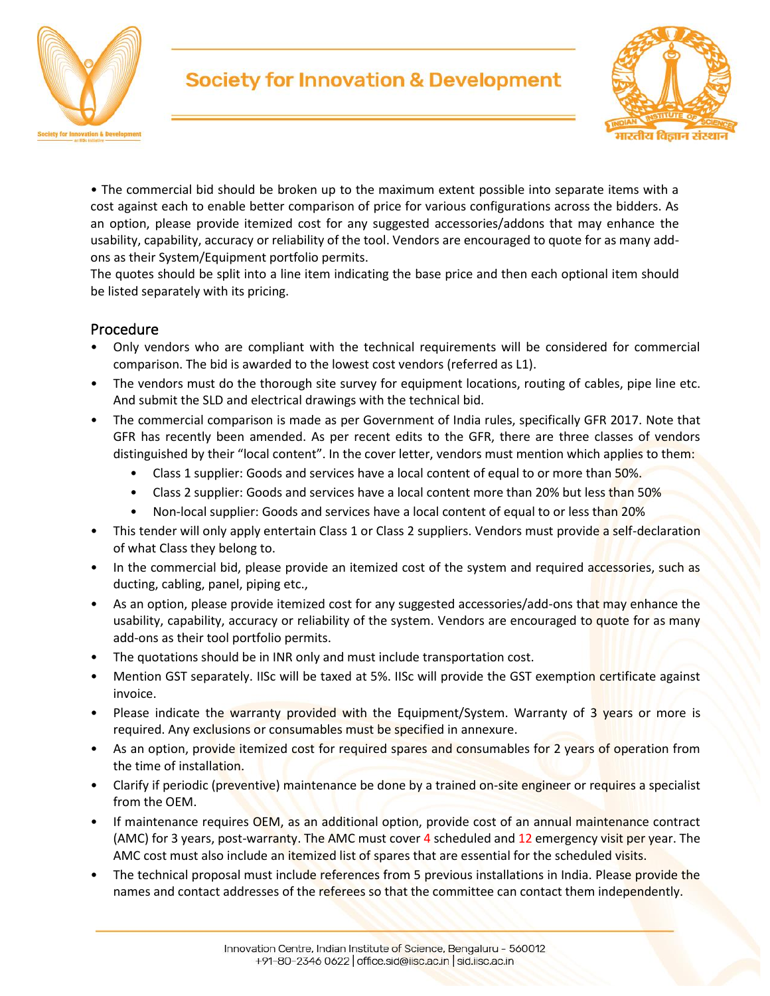



• The commercial bid should be broken up to the maximum extent possible into separate items with a cost against each to enable better comparison of price for various configurations across the bidders. As an option, please provide itemized cost for any suggested accessories/addons that may enhance the usability, capability, accuracy or reliability of the tool. Vendors are encouraged to quote for as many addons as their System/Equipment portfolio permits.

The quotes should be split into a line item indicating the base price and then each optional item should be listed separately with its pricing.

### Procedure

- Only vendors who are compliant with the technical requirements will be considered for commercial comparison. The bid is awarded to the lowest cost vendors (referred as L1).
- The vendors must do the thorough site survey for equipment locations, routing of cables, pipe line etc. And submit the SLD and electrical drawings with the technical bid.
- The commercial comparison is made as per Government of India rules, specifically GFR 2017. Note that GFR has recently been amended. As per recent edits to the GFR, there are three classes of vendors distinguished by their "local content". In the cover letter, vendors must mention which applies to them:
	- Class 1 supplier: Goods and services have a local content of equal to or more than 50%.
	- Class 2 supplier: Goods and services have a local content more than 20% but less than 50%
	- Non-local supplier: Goods and services have a local content of equal to or less than 20%
- This tender will only apply entertain Class 1 or Class 2 suppliers. Vendors must provide a self-declaration of what Class they belong to.
- In the commercial bid, please provide an itemized cost of the system and required accessories, such as ducting, cabling, panel, piping etc.,
- As an option, please provide itemized cost for any suggested accessories/add-ons that may enhance the usability, capability, accuracy or reliability of the system. Vendors are encouraged to quote for as many add-ons as their tool portfolio permits.
- The quotations should be in INR only and must include transportation cost.
- Mention GST separately. IISc will be taxed at 5%. IISc will provide the GST exemption certificate against invoice.
- Please indicate the warranty provided with the Equipment/System. Warranty of 3 years or more is required. Any exclusions or consumables must be specified in annexure.
- As an option, provide itemized cost for required spares and consumables for 2 years of operation from the time of installation.
- Clarify if periodic (preventive) maintenance be done by a trained on-site engineer or requires a specialist from the OEM.
- If maintenance requires OEM, as an additional option, provide cost of an annual maintenance contract (AMC) for 3 years, post-warranty. The AMC must cover 4 scheduled and 12 emergency visit per year. The AMC cost must also include an itemized list of spares that are essential for the scheduled visits.
- The technical proposal must include references from 5 previous installations in India. Please provide the names and contact addresses of the referees so that the committee can contact them independently.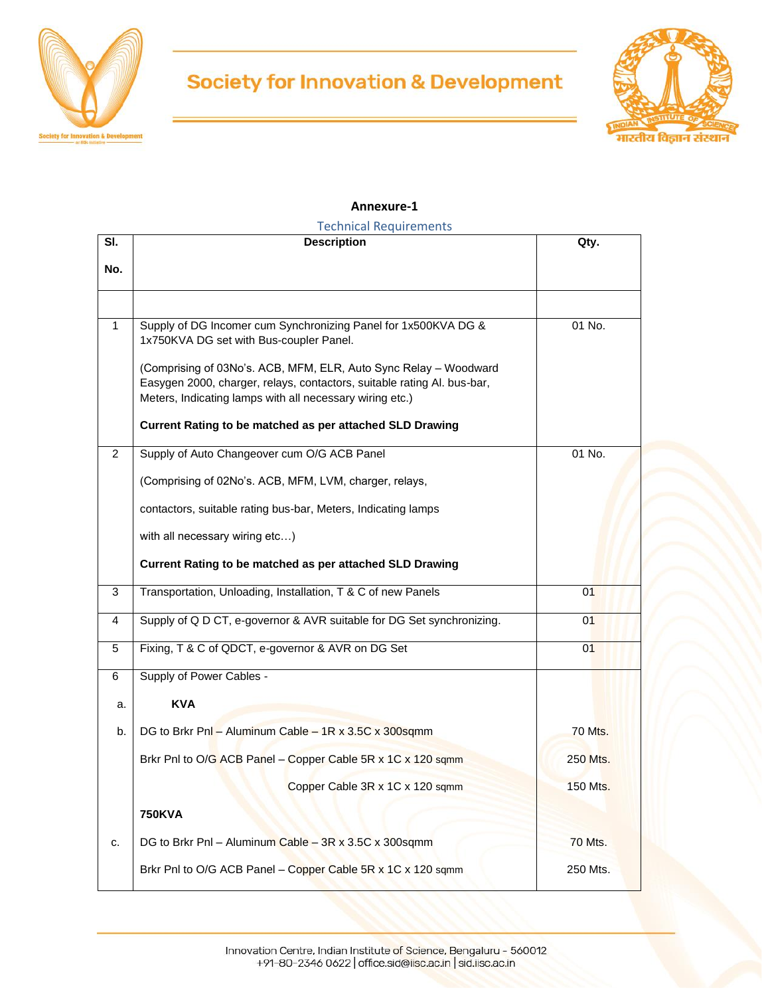



#### **Annexure-1**

| SI.         | <b>Technical Requirements</b><br><b>Description</b>                                                                                                                                                     | Qty.           |
|-------------|---------------------------------------------------------------------------------------------------------------------------------------------------------------------------------------------------------|----------------|
| No.         |                                                                                                                                                                                                         |                |
|             |                                                                                                                                                                                                         |                |
| $\mathbf 1$ | Supply of DG Incomer cum Synchronizing Panel for 1x500KVA DG &<br>1x750KVA DG set with Bus-coupler Panel.                                                                                               | 01 No.         |
|             | (Comprising of 03No's. ACB, MFM, ELR, Auto Sync Relay - Woodward<br>Easygen 2000, charger, relays, contactors, suitable rating Al. bus-bar,<br>Meters, Indicating lamps with all necessary wiring etc.) |                |
|             | Current Rating to be matched as per attached SLD Drawing                                                                                                                                                |                |
| 2           | Supply of Auto Changeover cum O/G ACB Panel                                                                                                                                                             | 01 No.         |
|             | (Comprising of 02No's. ACB, MFM, LVM, charger, relays,                                                                                                                                                  |                |
|             | contactors, suitable rating bus-bar, Meters, Indicating lamps                                                                                                                                           |                |
|             | with all necessary wiring etc)                                                                                                                                                                          |                |
|             | Current Rating to be matched as per attached SLD Drawing                                                                                                                                                |                |
| 3           | Transportation, Unloading, Installation, T & C of new Panels                                                                                                                                            | 01             |
| 4           | Supply of Q D CT, e-governor & AVR suitable for DG Set synchronizing.                                                                                                                                   | 01             |
| 5           | Fixing, T & C of QDCT, e-governor & AVR on DG Set                                                                                                                                                       | 01             |
| 6           | Supply of Power Cables -                                                                                                                                                                                |                |
| a.          | <b>KVA</b>                                                                                                                                                                                              |                |
| b.          | DG to Brkr Pnl - Aluminum Cable - 1R x 3.5C x 300sqmm                                                                                                                                                   | <b>70 Mts.</b> |
|             | Brkr PnI to O/G ACB Panel - Copper Cable 5R x 1C x 120 sqmm                                                                                                                                             | 250 Mts.       |
|             | Copper Cable 3R x 1C x 120 sqmm                                                                                                                                                                         | 150 Mts.       |
|             | <b>750KVA</b>                                                                                                                                                                                           |                |
| c.          | DG to Brkr Pnl - Aluminum Cable - 3R x 3.5C x 300sqmm                                                                                                                                                   | <b>70 Mts.</b> |
|             | Brkr PnI to O/G ACB Panel - Copper Cable 5R x 1C x 120 sqmm                                                                                                                                             | 250 Mts.       |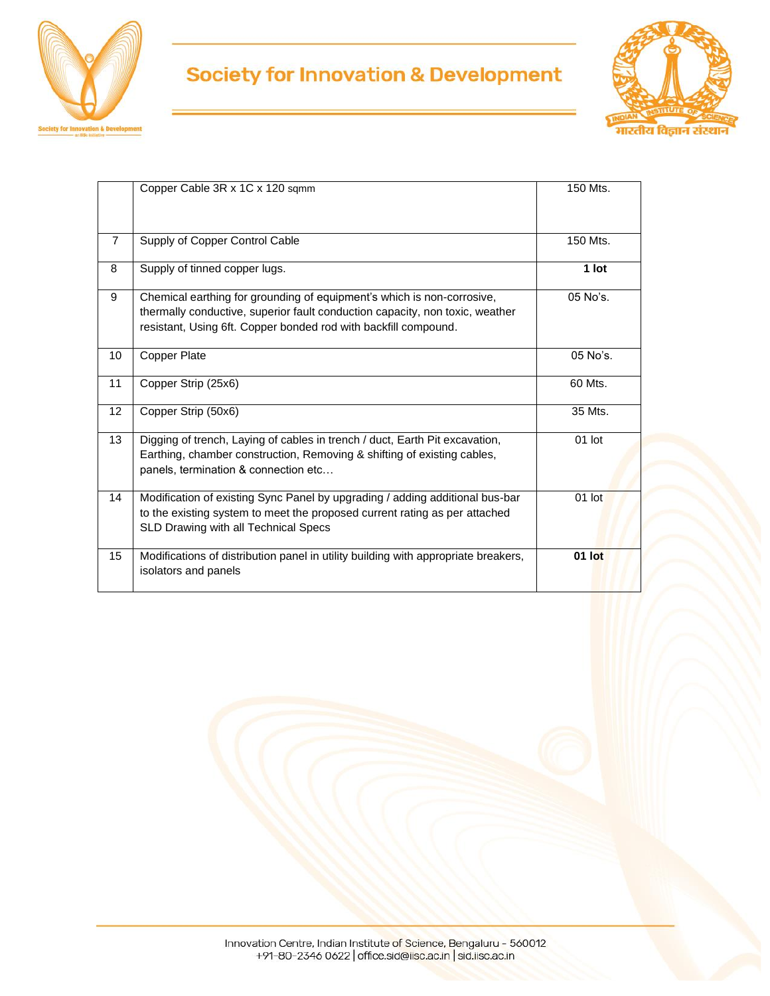



|                | Copper Cable 3R x 1C x 120 sqmm                                                                                                                                                                                           | 150 Mts. |
|----------------|---------------------------------------------------------------------------------------------------------------------------------------------------------------------------------------------------------------------------|----------|
| $\overline{7}$ | Supply of Copper Control Cable                                                                                                                                                                                            | 150 Mts. |
| 8              | Supply of tinned copper lugs.                                                                                                                                                                                             | 1 lot    |
| 9              | Chemical earthing for grounding of equipment's which is non-corrosive,<br>thermally conductive, superior fault conduction capacity, non toxic, weather<br>resistant, Using 6ft. Copper bonded rod with backfill compound. | 05 No's. |
| 10             | <b>Copper Plate</b>                                                                                                                                                                                                       | 05 No's. |
| 11             | Copper Strip (25x6)                                                                                                                                                                                                       | 60 Mts.  |
| 12             | Copper Strip (50x6)                                                                                                                                                                                                       | 35 Mts.  |
| 13             | Digging of trench, Laying of cables in trench / duct, Earth Pit excavation,<br>Earthing, chamber construction, Removing & shifting of existing cables,<br>panels, termination & connection etc                            | 01 lot   |
| 14             | Modification of existing Sync Panel by upgrading / adding additional bus-bar<br>to the existing system to meet the proposed current rating as per attached<br>SLD Drawing with all Technical Specs                        | 01 lot   |
| 15             | Modifications of distribution panel in utility building with appropriate breakers,<br>isolators and panels                                                                                                                | 01 lot   |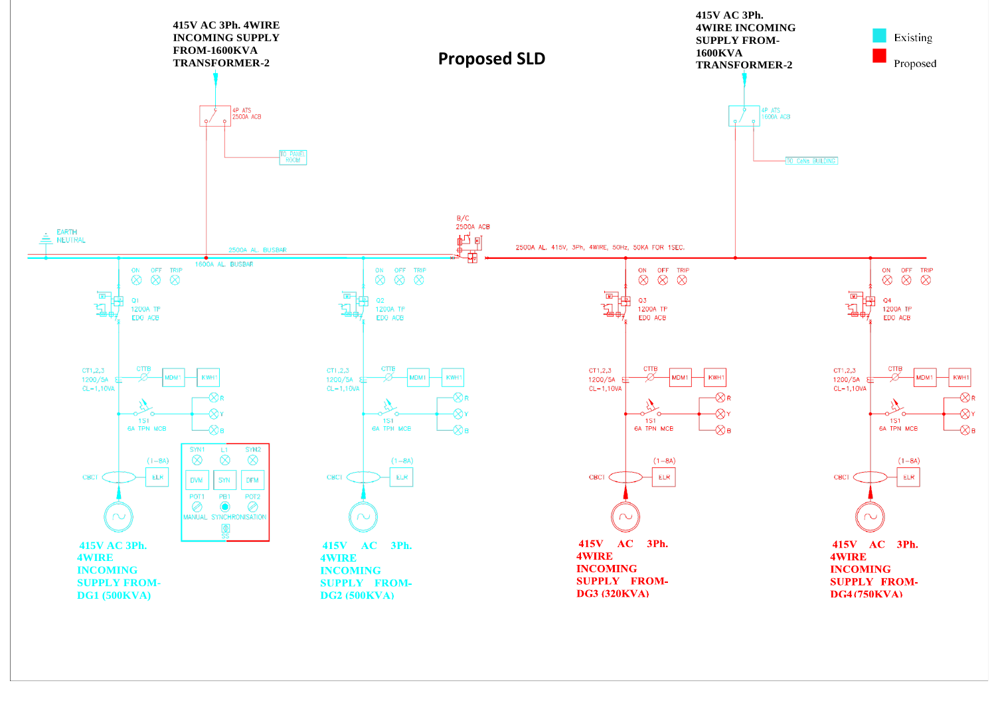